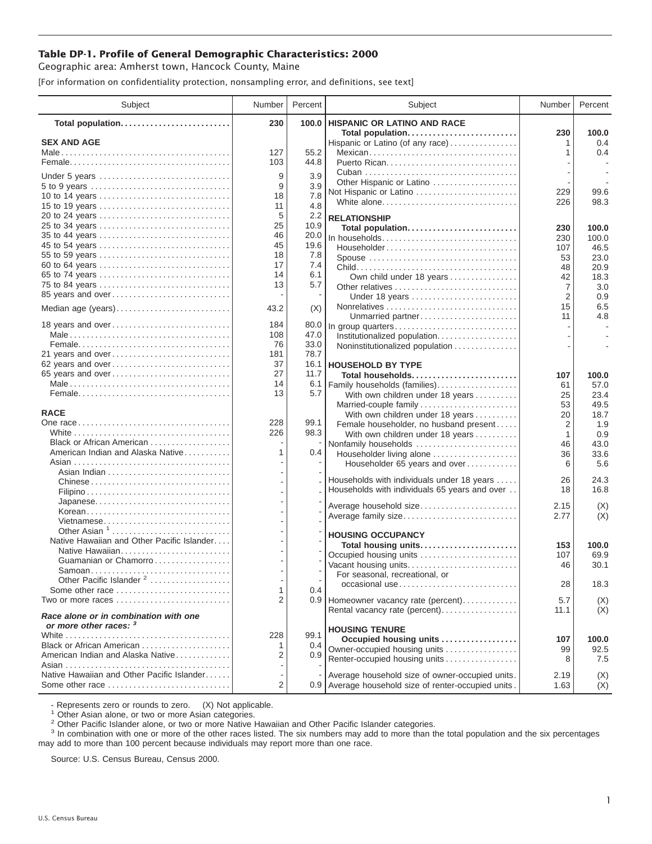## **Table DP-1. Profile of General Demographic Characteristics: 2000**

Geographic area: Amherst town, Hancock County, Maine

[For information on confidentiality protection, nonsampling error, and definitions, see text]

| Subject                                                         | Number    | Percent      | Subject                                                                         | Number         | Percent       |
|-----------------------------------------------------------------|-----------|--------------|---------------------------------------------------------------------------------|----------------|---------------|
| Total population                                                | 230       | 100.0        | <b>HISPANIC OR LATINO AND RACE</b>                                              |                |               |
| <b>SEX AND AGE</b>                                              |           |              | Total population                                                                | 230            | 100.0<br>0.4  |
|                                                                 | 127       | 55.2         | Hispanic or Latino (of any race)<br>Mexican                                     | 1<br>1         | 0.4           |
|                                                                 | 103       | 44.8         |                                                                                 |                |               |
|                                                                 |           |              |                                                                                 |                |               |
| Under 5 years                                                   | 9         | 3.9          | Other Hispanic or Latino                                                        |                |               |
|                                                                 | 9<br>18   | 3.9<br>7.8   | Not Hispanic or Latino                                                          | 229            | 99.6          |
| 10 to 14 years<br>15 to 19 years                                | 11        | 4.8          | White alone                                                                     | 226            | 98.3          |
| 20 to 24 years                                                  | 5         | 2.2          |                                                                                 |                |               |
| 25 to 34 years                                                  | 25        | 10.9         | <b>RELATIONSHIP</b><br>Total population                                         | 230            | 100.0         |
|                                                                 | 46        | 20.0         | In households                                                                   | 230            | 100.0         |
| 45 to 54 years                                                  | 45        | 19.6         | $Householder \dots \dots \dots \dots \dots \dots \dots \dots \dots \dots \dots$ | 107            | 46.5          |
| 55 to 59 years                                                  | 18        | 7.8          | Spouse                                                                          | 53             | 23.0          |
| 60 to 64 years                                                  | 17        | 7.4          |                                                                                 | 48             | 20.9          |
| 65 to 74 years                                                  | 14        | 6.1          | Own child under 18 years                                                        | 42             | 18.3          |
| 75 to 84 years                                                  | 13        | 5.7          | Other relatives                                                                 | $\overline{7}$ | 3.0           |
| 85 years and over                                               |           |              | Under 18 years                                                                  | 2              | 0.9           |
| Median age (years)                                              | 43.2      | (X)          |                                                                                 | 15             | 6.5           |
|                                                                 |           |              | Unmarried partner                                                               | 11             | 4.8           |
| 18 years and over                                               | 184       | 80.0         | In group quarters                                                               |                |               |
|                                                                 | 108<br>76 | 47.0<br>33.0 | Institutionalized population                                                    |                |               |
| 21 years and over                                               | 181       | 78.7         | Noninstitutionalized population                                                 |                |               |
| 62 years and over                                               | 37        |              | 16.1   HOUSEHOLD BY TYPE                                                        |                |               |
| 65 years and over                                               | 27        | 11.7         | Total households                                                                | 107            | 100.0         |
|                                                                 | 14        | 6.1          | Family households (families)                                                    | 61             | 57.0          |
|                                                                 | 13        | 5.7          | With own children under 18 years                                                | 25             | 23.4          |
|                                                                 |           |              | Married-couple family                                                           | 53             | 49.5          |
| <b>RACE</b>                                                     |           |              | With own children under 18 years                                                | 20             | 18.7          |
|                                                                 | 228       | 99.1         | Female householder, no husband present                                          | 2              | 1.9           |
|                                                                 | 226       | 98.3         | With own children under 18 years                                                | 1              | 0.9           |
| Black or African American                                       |           |              | Nonfamily households                                                            | 46             | 43.0          |
| American Indian and Alaska Native                               | 1         | 0.4          | Householder living alone                                                        | 36             | 33.6          |
|                                                                 |           |              | Householder 65 years and over                                                   | 6              | 5.6           |
| Chinese                                                         |           |              | Households with individuals under 18 years                                      | 26             | 24.3          |
|                                                                 |           |              | Households with individuals 65 years and over                                   | 18             | 16.8          |
| Japanese                                                        |           |              |                                                                                 |                |               |
| Korean                                                          |           |              | Average household size                                                          | 2.15           | (X)           |
| Vietnamese                                                      |           |              | Average family size                                                             | 2.77           | (X)           |
| Other Asian <sup>1</sup>                                        |           |              | <b>HOUSING OCCUPANCY</b>                                                        |                |               |
| Native Hawaiian and Other Pacific Islander                      |           |              | Total housing units                                                             | 153            | 100.0         |
| Native Hawaiian                                                 |           |              | Occupied housing units                                                          | 107            | 69.9          |
| Guamanian or Chamorro                                           |           |              | Vacant housing units                                                            | 46             | 30.1          |
|                                                                 |           |              | For seasonal, recreational, or                                                  |                |               |
| Other Pacific Islander <sup>2</sup><br>Some other race          |           |              | occasional use                                                                  | 28             | 18.3          |
| Two or more races                                               | 1<br>2    | 0.4          |                                                                                 |                |               |
|                                                                 |           |              | 0.9 Homeowner vacancy rate (percent)<br>Rental vacancy rate (percent)           | 5.7            | (X)<br>(X)    |
| Race alone or in combination with one<br>or more other races: 3 |           |              |                                                                                 | 11.1           |               |
|                                                                 | 228       | 99.1         | <b>HOUSING TENURE</b>                                                           |                |               |
| Black or African American                                       | 1         | 0.4          | Occupied housing units<br>Owner-occupied housing units                          | 107<br>99      | 100.0<br>92.5 |
| American Indian and Alaska Native                               | 2         | 0.9          | Renter-occupied housing units                                                   | 8              | 7.5           |
|                                                                 |           |              |                                                                                 |                |               |
| Native Hawaiian and Other Pacific Islander                      |           |              | Average household size of owner-occupied units.                                 | 2.19           | (X)           |
| Some other race                                                 | 2         |              | 0.9 Average household size of renter-occupied units.                            | 1.63           | (X)           |

- Represents zero or rounds to zero. (X) Not applicable.<br><sup>1</sup> Other Asian alone, or two or more Asian categories.

<sup>2</sup> Other Pacific Islander alone, or two or more Native Hawaiian and Other Pacific Islander categories.<br><sup>3</sup> In combination with one or more of the other races listed. The six numbers may add to more than the total populati may add to more than 100 percent because individuals may report more than one race.

Source: U.S. Census Bureau, Census 2000.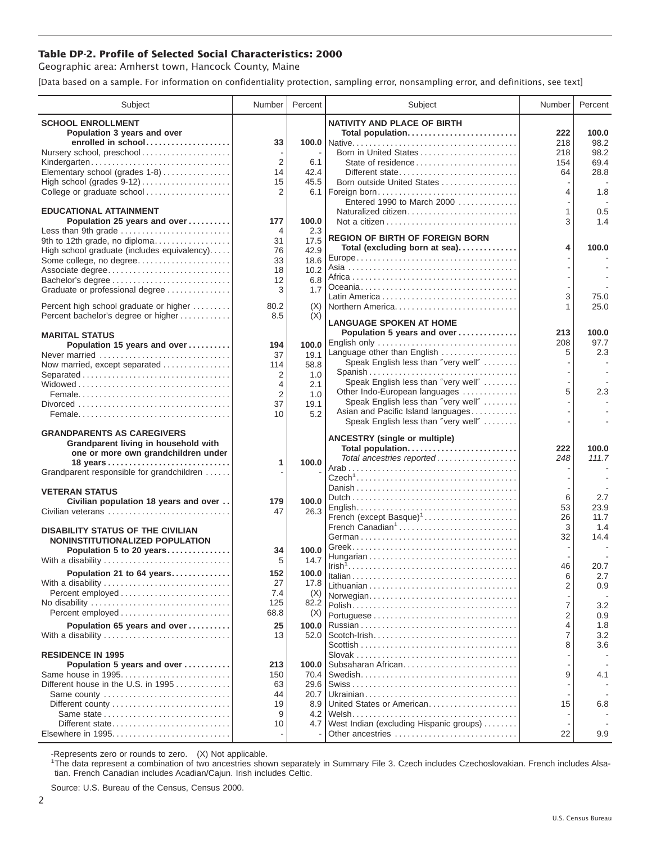## **Table DP-2. Profile of Selected Social Characteristics: 2000**

Geographic area: Amherst town, Hancock County, Maine

[Data based on a sample. For information on confidentiality protection, sampling error, nonsampling error, and definitions, see text]

| Subject                                                                      | Number         | Percent     | Subject                                 | Number         | Percent      |
|------------------------------------------------------------------------------|----------------|-------------|-----------------------------------------|----------------|--------------|
| <b>SCHOOL ENROLLMENT</b>                                                     |                |             | <b>NATIVITY AND PLACE OF BIRTH</b>      |                |              |
| Population 3 years and over                                                  |                |             | Total population                        | 222            | 100.0        |
| enrolled in school                                                           | 33             |             |                                         | 218            | 98.2<br>98.2 |
| Nursery school, preschool<br>Kindergarten                                    | $\overline{2}$ | 6.1         | Born in United States                   | 218<br>154     | 69.4         |
| Elementary school (grades 1-8)                                               | 14             | 42.4        | Different state                         | 64             | 28.8         |
|                                                                              | 15             | 45.5        | Born outside United States              |                |              |
| College or graduate school                                                   | 2              |             | 6.1   Foreign born                      | 4              | 1.8          |
|                                                                              |                |             | Entered 1990 to March 2000              |                |              |
| <b>EDUCATIONAL ATTAINMENT</b>                                                |                |             | Naturalized citizen                     | 1              | 0.5          |
| Population 25 years and over                                                 | 177            | 100.0       |                                         | 3              | 1.4          |
| Less than 9th grade                                                          | 4<br>31        | 2.3<br>17.5 | <b>REGION OF BIRTH OF FOREIGN BORN</b>  |                |              |
| 9th to 12th grade, no diploma<br>High school graduate (includes equivalency) | 76             | 42.9        | Total (excluding born at sea)           | 4              | 100.0        |
| Some college, no degree                                                      | 33             | 18.6        |                                         |                |              |
| Associate degree                                                             | 18             | 10.2        |                                         |                |              |
|                                                                              | 12             | 6.8         |                                         |                |              |
| Graduate or professional degree                                              | 3              | 1.7         |                                         | 3              | 75.0         |
| Percent high school graduate or higher                                       | 80.2           | (X)         | Northern America                        | 1              | 25.0         |
| Percent bachelor's degree or higher                                          | 8.5            | (X)         |                                         |                |              |
|                                                                              |                |             | <b>LANGUAGE SPOKEN AT HOME</b>          |                |              |
| <b>MARITAL STATUS</b>                                                        |                |             | Population 5 years and over             | 213            | 100.0        |
| Population 15 years and over                                                 | 194            | 100.0       | Language other than English             | 208<br>5       | 97.7<br>2.3  |
| Never married                                                                | 37             | 19.1        | Speak English less than "very well"     |                |              |
| Now married, except separated                                                | 114            | 58.8        | Spanish                                 |                |              |
| Separated                                                                    | 2<br>4         | 1.0<br>2.1  | Speak English less than "very well"     |                |              |
|                                                                              | 2              | 1.0         | Other Indo-European languages           | 5              | 2.3          |
|                                                                              | 37             | 19.1        | Speak English less than "very well"     |                |              |
|                                                                              | 10             | 5.2         | Asian and Pacific Island languages      |                |              |
|                                                                              |                |             | Speak English less than "very well"     |                |              |
| <b>GRANDPARENTS AS CAREGIVERS</b>                                            |                |             | <b>ANCESTRY (single or multiple)</b>    |                |              |
| Grandparent living in household with<br>one or more own grandchildren under  |                |             | Total population                        | 222            | 100.0        |
|                                                                              | 1              | 100.0       | Total ancestries reported               | 248            | 111.7        |
| Grandparent responsible for grandchildren                                    |                |             |                                         |                |              |
|                                                                              |                |             |                                         |                |              |
| <b>VETERAN STATUS</b>                                                        |                |             |                                         | 6              | 2.7          |
| Civilian population 18 years and over                                        | 179            | 100.0       |                                         | 53             | 23.9         |
| Civilian veterans                                                            | 47             | 26.3        | French (except Basque) <sup>1</sup>     | 26             | 11.7         |
| <b>DISABILITY STATUS OF THE CIVILIAN</b>                                     |                |             | French Canadian <sup>1</sup>            | 3              | 1.4          |
| NONINSTITUTIONALIZED POPULATION                                              |                |             |                                         | 32             | 14.4         |
| Population 5 to 20 years                                                     | 34             | 100.0       |                                         |                |              |
| With a disability                                                            | 5              | 14.7        |                                         |                |              |
| Population 21 to 64 years                                                    | 152            | 100.0       |                                         | 46<br>6        | 20.7<br>2.7  |
| With a disability                                                            | 27             | 17.8        |                                         | 2              | 0.9          |
| Percent employed                                                             | 7.4            | (X)         | Norwegian                               |                |              |
| No disability                                                                | 125            | 82.2        |                                         | 7              | 3.2          |
| Percent employed                                                             | 68.8           | (X)         |                                         | $\overline{2}$ | 0.9          |
| Population 65 years and over                                                 | 25             | 100.0       |                                         | 4              | 1.8          |
| With a disability                                                            | 13             | 52.0        |                                         | 7              | 3.2          |
| <b>RESIDENCE IN 1995</b>                                                     |                |             |                                         | 8              | 3.6          |
| Population 5 years and over                                                  | 213            | 100.0       | Subsaharan African                      |                |              |
| Same house in 1995                                                           | 150            | 70.4        |                                         | 9              | 4.1          |
| Different house in the U.S. in 1995                                          | 63             | 29.6        |                                         |                |              |
| Same county                                                                  | 44             | 20.7        |                                         |                |              |
|                                                                              | 19             | 8.9         | United States or American               | 15             | 6.8          |
| Same state                                                                   | 9              |             |                                         |                |              |
| Different state                                                              | 10             | 4.7         | West Indian (excluding Hispanic groups) | 22             | 9.9          |
|                                                                              |                |             | Other ancestries                        |                |              |

-Represents zero or rounds to zero. (X) Not applicable. 1 The data represent a combination of two ancestries shown separately in Summary File 3. Czech includes Czechoslovakian. French includes Alsatian. French Canadian includes Acadian/Cajun. Irish includes Celtic.

Source: U.S. Bureau of the Census, Census 2000.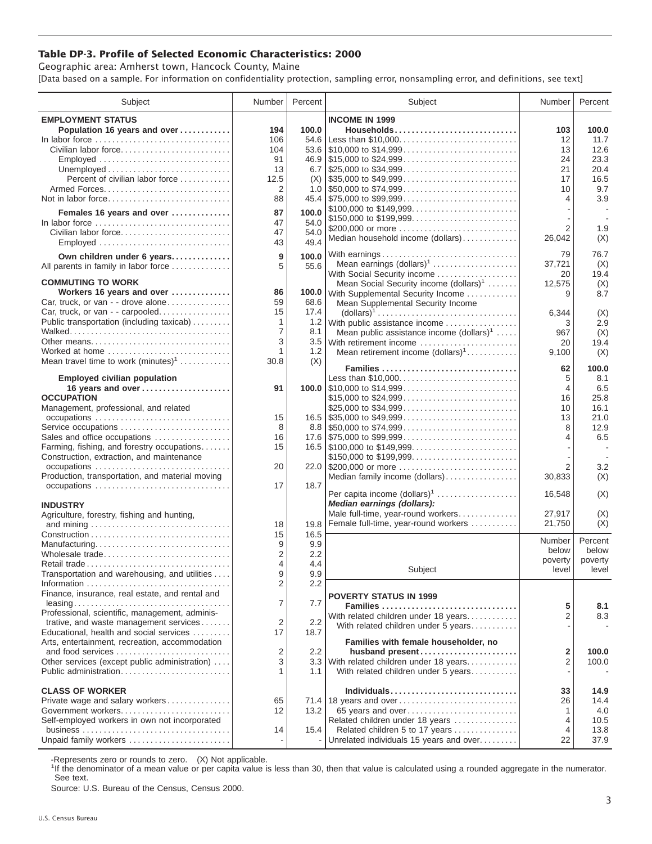## **Table DP-3. Profile of Selected Economic Characteristics: 2000**

Geographic area: Amherst town, Hancock County, Maine [Data based on a sample. For information on confidentiality protection, sampling error, nonsampling error, and definitions, see text]

| Subject                                                                         | Number         | Percent          | Subject                                                                                | Number         | Percent |
|---------------------------------------------------------------------------------|----------------|------------------|----------------------------------------------------------------------------------------|----------------|---------|
| <b>EMPLOYMENT STATUS</b>                                                        |                |                  | <b>INCOME IN 1999</b>                                                                  |                |         |
| Population 16 years and over                                                    | 194            | 100.0            | Households                                                                             | 103            | 100.0   |
| In labor force                                                                  | 106            |                  | 54.6 Less than \$10,000                                                                | 12             | 11.7    |
| Civilian labor force                                                            | 104            |                  |                                                                                        | 13             | 12.6    |
| Employed                                                                        | 91             |                  |                                                                                        | 24             | 23.3    |
|                                                                                 | 13             |                  |                                                                                        | 21             | 20.4    |
| Percent of civilian labor force                                                 | 12.5           |                  |                                                                                        | 17             | 16.5    |
|                                                                                 | 2              |                  |                                                                                        | 10             | 9.7     |
| Not in labor force                                                              | 88             |                  |                                                                                        | 4              | 3.9     |
|                                                                                 |                |                  | \$100,000 to \$149,999                                                                 |                |         |
| Females 16 years and over                                                       | 87             | 100.0            |                                                                                        |                |         |
| In labor force $\ldots \ldots \ldots \ldots \ldots \ldots \ldots \ldots \ldots$ | 47             | 54.0             | \$150,000 to \$199,999<br>\$200,000 or more                                            | $\overline{2}$ | 1.9     |
| Civilian labor force                                                            | 47             | 54.0             | Median household income (dollars)                                                      | 26,042         | (X)     |
| Employed                                                                        | 43             | 49.4             |                                                                                        |                |         |
| Own children under 6 years                                                      | 9              | 100.0            | With earnings                                                                          | 79             | 76.7    |
| All parents in family in labor force                                            | 5              | 55.6             | Mean earnings $(dollars)1$                                                             | 37,721         | (X)     |
|                                                                                 |                |                  | With Social Security income                                                            | 20             | 19.4    |
| <b>COMMUTING TO WORK</b>                                                        |                |                  | Mean Social Security income $(dollars)^1$                                              | 12,575         | (X)     |
| Workers 16 years and over                                                       | 86             |                  | 100.0 With Supplemental Security Income                                                | 9              | 8.7     |
| Car, truck, or van - - drove alone                                              | 59             | 68.6             | Mean Supplemental Security Income                                                      |                |         |
| Car, truck, or van - - carpooled                                                | 15             | 17.4             | $\text{(dollars)}^1 \dots \dots \dots \dots \dots \dots \dots \dots \dots \dots \dots$ | 6,344          | (X)     |
| Public transportation (including taxicab)                                       | $\mathbf{1}$   | 1.2              | With public assistance income                                                          | 3              | 2.9     |
|                                                                                 | 7              | 8.1              | Mean public assistance income $(dollars)1 \ldots$ .                                    | 967            | (X)     |
| Other means                                                                     | 3              |                  | 3.5 With retirement income                                                             | 20             | 19.4    |
| Worked at home                                                                  | 1              | 1.2              | Mean retirement income $(dollars)1$                                                    | 9,100          | (X)     |
| Mean travel time to work $(minutes)^1$                                          | 30.8           | (X)              |                                                                                        |                |         |
|                                                                                 |                |                  | Families                                                                               | 62             | 100.0   |
| <b>Employed civilian population</b>                                             |                |                  | Less than \$10,000                                                                     | 5              | 8.1     |
| 16 years and over                                                               | 91             |                  |                                                                                        | $\overline{4}$ | 6.5     |
| <b>OCCUPATION</b>                                                               |                |                  | \$15,000 to \$24,999                                                                   | 16             | 25.8    |
| Management, professional, and related                                           |                |                  | \$25,000 to \$34,999                                                                   | 10             | 16.1    |
|                                                                                 | 15             |                  |                                                                                        | 13             | 21.0    |
| Service occupations                                                             | 8              |                  |                                                                                        | 8              | 12.9    |
| Sales and office occupations                                                    | 16             |                  |                                                                                        | 4              | 6.5     |
| Farming, fishing, and forestry occupations                                      | 15             |                  |                                                                                        |                | ÷.      |
| Construction, extraction, and maintenance                                       |                |                  | \$150,000 to \$199,999                                                                 |                |         |
|                                                                                 | 20             |                  | 22.0 \$200,000 or more                                                                 | $\overline{2}$ | 3.2     |
| Production, transportation, and material moving                                 |                |                  | Median family income (dollars)                                                         | 30,833         | (X)     |
|                                                                                 | 17             | 18.7             |                                                                                        |                |         |
|                                                                                 |                |                  | Per capita income (dollars) <sup>1</sup>                                               | 16,548         | (X)     |
| <b>INDUSTRY</b>                                                                 |                |                  | Median earnings (dollars):                                                             |                |         |
| Agriculture, forestry, fishing and hunting,                                     |                |                  | Male full-time, year-round workers                                                     | 27.917         | (X)     |
|                                                                                 | 18             | 19.8             | Female full-time, year-round workers                                                   | 21,750         | (X)     |
|                                                                                 | 15             | 16.5             |                                                                                        | Number         | Percent |
| Manufacturing                                                                   | 9              | 9.9              |                                                                                        | below          | below   |
| Wholesale trade                                                                 | $\overline{2}$ | 2.2              |                                                                                        | poverty        | poverty |
| Retail trade                                                                    | 4              | 4.4              | Subject                                                                                | level          | level   |
| Transportation and warehousing, and utilities                                   | 9              | 9.9              |                                                                                        |                |         |
|                                                                                 | 2              | 2.2              |                                                                                        |                |         |
| Finance, insurance, real estate, and rental and                                 |                |                  | <b>POVERTY STATUS IN 1999</b>                                                          |                |         |
| $leasing \ldots \ldots \ldots \ldots \ldots \ldots \ldots \ldots \ldots \ldots$ | 7              | 7.7              | Families                                                                               | 5              | 8.1     |
| Professional, scientific, management, adminis-                                  |                |                  | With related children under 18 years                                                   | 2              | 8.3     |
| trative, and waste management services                                          | 2              | 2.2              | With related children under 5 years                                                    |                |         |
| Educational, health and social services                                         | 17             | 18.7             |                                                                                        |                |         |
| Arts, entertainment, recreation, accommodation                                  |                |                  | Families with female householder, no                                                   |                |         |
| and food services                                                               | 2              | $2.2\phantom{0}$ | husband present                                                                        | 2              | 100.0   |
| Other services (except public administration)                                   | 3              | 3.3              | With related children under 18 years                                                   | $\overline{2}$ | 100.0   |
| Public administration                                                           | 1              | 1.1              | With related children under 5 years                                                    |                |         |
|                                                                                 |                |                  |                                                                                        |                |         |
| <b>CLASS OF WORKER</b>                                                          |                |                  | Individuals                                                                            | 33             | 14.9    |
| Private wage and salary workers                                                 | 65             |                  | 71.4 18 years and over                                                                 | 26             | 14.4    |
| Government workers                                                              | 12             | 13.2             | 65 years and over                                                                      | 1              | 4.0     |
| Self-employed workers in own not incorporated                                   |                |                  | Related children under 18 years                                                        | 4              | 10.5    |
|                                                                                 | 14             | 15.4             | Related children 5 to 17 years                                                         | 4              | 13.8    |
| Unpaid family workers                                                           |                |                  | Unrelated individuals 15 years and over                                                | 22             | 37.9    |

-Represents zero or rounds to zero. (X) Not applicable.

<sup>1</sup>If the denominator of a mean value or per capita value is less than 30, then that value is calculated using a rounded aggregate in the numerator. See text.

Source: U.S. Bureau of the Census, Census 2000.